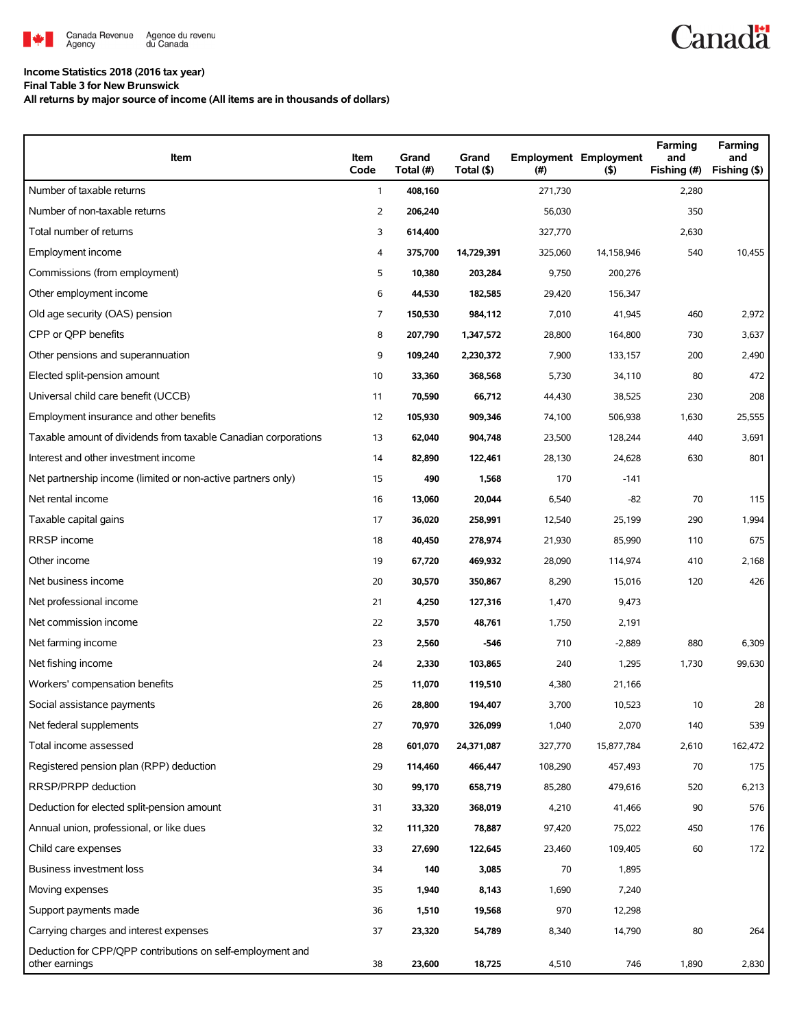

## **Income Statistics 2018 (2016 tax year)**

**Final Table 3 for New Brunswick**

**All returns by major source of income (All items are in thousands of dollars)**

| Item                                                                         | Item<br>Code   | Grand<br>Total (#) | Grand<br>Total (\$) | (#)     | <b>Employment Employment</b><br>(5) | Farming<br>and<br>Fishing (#) | Farming<br>and<br>Fishing (\$) |
|------------------------------------------------------------------------------|----------------|--------------------|---------------------|---------|-------------------------------------|-------------------------------|--------------------------------|
| Number of taxable returns                                                    | $\mathbf{1}$   | 408,160            |                     | 271,730 |                                     | 2,280                         |                                |
| Number of non-taxable returns                                                | $\overline{2}$ | 206,240            |                     | 56,030  |                                     | 350                           |                                |
| Total number of returns                                                      | 3              | 614,400            |                     | 327,770 |                                     | 2,630                         |                                |
| Employment income                                                            | 4              | 375,700            | 14,729,391          | 325,060 | 14,158,946                          | 540                           | 10,455                         |
| Commissions (from employment)                                                | 5              | 10,380             | 203,284             | 9,750   | 200,276                             |                               |                                |
| Other employment income                                                      | 6              | 44,530             | 182,585             | 29,420  | 156,347                             |                               |                                |
| Old age security (OAS) pension                                               | $\overline{7}$ | 150,530            | 984,112             | 7,010   | 41,945                              | 460                           | 2,972                          |
| CPP or OPP benefits                                                          | 8              | 207,790            | 1,347,572           | 28,800  | 164,800                             | 730                           | 3,637                          |
| Other pensions and superannuation                                            | 9              | 109,240            | 2,230,372           | 7,900   | 133,157                             | 200                           | 2,490                          |
| Elected split-pension amount                                                 | 10             | 33,360             | 368,568             | 5,730   | 34,110                              | 80                            | 472                            |
| Universal child care benefit (UCCB)                                          | 11             | 70,590             | 66,712              | 44,430  | 38,525                              | 230                           | 208                            |
| Employment insurance and other benefits                                      | 12             | 105,930            | 909,346             | 74,100  | 506,938                             | 1,630                         | 25,555                         |
| Taxable amount of dividends from taxable Canadian corporations               | 13             | 62,040             | 904,748             | 23,500  | 128,244                             | 440                           | 3,691                          |
| Interest and other investment income                                         | 14             | 82,890             | 122,461             | 28,130  | 24,628                              | 630                           | 801                            |
| Net partnership income (limited or non-active partners only)                 | 15             | 490                | 1,568               | 170     | $-141$                              |                               |                                |
| Net rental income                                                            | 16             | 13,060             | 20,044              | 6,540   | $-82$                               | 70                            | 115                            |
| Taxable capital gains                                                        | 17             | 36,020             | 258,991             | 12,540  | 25,199                              | 290                           | 1,994                          |
| RRSP income                                                                  | 18             | 40,450             | 278,974             | 21,930  | 85,990                              | 110                           | 675                            |
| Other income                                                                 | 19             | 67,720             | 469,932             | 28,090  | 114,974                             | 410                           | 2,168                          |
| Net business income                                                          | 20             | 30,570             | 350,867             | 8,290   | 15,016                              | 120                           | 426                            |
| Net professional income                                                      | 21             | 4,250              | 127,316             | 1,470   | 9,473                               |                               |                                |
| Net commission income                                                        | 22             | 3,570              | 48,761              | 1,750   | 2,191                               |                               |                                |
| Net farming income                                                           | 23             | 2,560              | -546                | 710     | $-2,889$                            | 880                           | 6,309                          |
| Net fishing income                                                           | 24             | 2,330              | 103,865             | 240     | 1,295                               | 1,730                         | 99,630                         |
| Workers' compensation benefits                                               | 25             | 11,070             | 119,510             | 4,380   | 21,166                              |                               |                                |
| Social assistance payments                                                   | 26             | 28,800             | 194,407             | 3,700   | 10,523                              | 10                            | 28                             |
| Net federal supplements                                                      | 27             | 70,970             | 326,099             | 1,040   | 2,070                               | 140                           | 539                            |
| Total income assessed                                                        | 28             | 601,070            | 24,371,087          | 327,770 | 15,877,784                          | 2,610                         | 162,472                        |
| Registered pension plan (RPP) deduction                                      | 29             | 114,460            | 466,447             | 108,290 | 457,493                             | 70                            | 175                            |
| RRSP/PRPP deduction                                                          | 30             | 99,170             | 658,719             | 85,280  | 479,616                             | 520                           | 6,213                          |
| Deduction for elected split-pension amount                                   | 31             | 33,320             | 368,019             | 4,210   | 41,466                              | 90                            | 576                            |
| Annual union, professional, or like dues                                     | 32             | 111,320            | 78,887              | 97,420  | 75,022                              | 450                           | 176                            |
| Child care expenses                                                          | 33             | 27,690             | 122,645             | 23,460  | 109,405                             | 60                            | 172                            |
| Business investment loss                                                     | 34             | 140                | 3,085               | 70      | 1,895                               |                               |                                |
| Moving expenses                                                              | 35             | 1,940              | 8,143               | 1,690   | 7,240                               |                               |                                |
| Support payments made                                                        | 36             | 1,510              | 19,568              | 970     | 12,298                              |                               |                                |
| Carrying charges and interest expenses                                       | 37             | 23,320             | 54,789              | 8,340   | 14,790                              | 80                            | 264                            |
| Deduction for CPP/QPP contributions on self-employment and<br>other earnings | 38             | 23,600             | 18,725              | 4,510   | 746                                 | 1,890                         | 2,830                          |

**Canadä**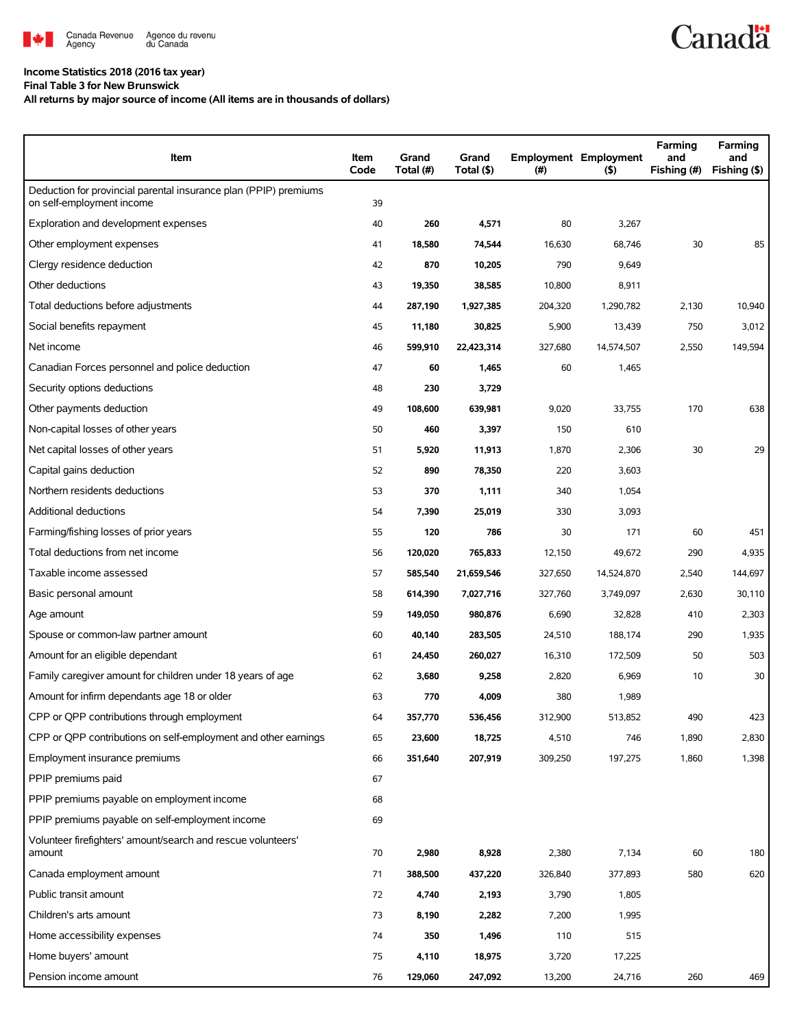

## **Income Statistics 2018 (2016 tax year)**

**Final Table 3 for New Brunswick**

**All returns by major source of income (All items are in thousands of dollars)**

| Item                                                                                          | Item<br>Code | Grand<br>Total (#) | Grand<br>Total (\$) | (#)     | <b>Employment Employment</b><br>$($ \$) | Farming<br>and<br>Fishing (#) | Farming<br>and<br>Fishing (\$) |
|-----------------------------------------------------------------------------------------------|--------------|--------------------|---------------------|---------|-----------------------------------------|-------------------------------|--------------------------------|
| Deduction for provincial parental insurance plan (PPIP) premiums<br>on self-employment income | 39           |                    |                     |         |                                         |                               |                                |
| Exploration and development expenses                                                          | 40           | 260                | 4,571               | 80      | 3,267                                   |                               |                                |
| Other employment expenses                                                                     | 41           | 18,580             | 74,544              | 16,630  | 68,746                                  | 30                            | 85                             |
| Clergy residence deduction                                                                    | 42           | 870                | 10,205              | 790     | 9,649                                   |                               |                                |
| Other deductions                                                                              | 43           | 19,350             | 38,585              | 10,800  | 8,911                                   |                               |                                |
| Total deductions before adjustments                                                           | 44           | 287,190            | 1,927,385           | 204,320 | 1,290,782                               | 2,130                         | 10,940                         |
| Social benefits repayment                                                                     | 45           | 11,180             | 30,825              | 5,900   | 13,439                                  | 750                           | 3,012                          |
| Net income                                                                                    | 46           | 599,910            | 22,423,314          | 327,680 | 14,574,507                              | 2,550                         | 149,594                        |
| Canadian Forces personnel and police deduction                                                | 47           | 60                 | 1,465               | 60      | 1,465                                   |                               |                                |
| Security options deductions                                                                   | 48           | 230                | 3,729               |         |                                         |                               |                                |
| Other payments deduction                                                                      | 49           | 108,600            | 639,981             | 9,020   | 33,755                                  | 170                           | 638                            |
| Non-capital losses of other years                                                             | 50           | 460                | 3,397               | 150     | 610                                     |                               |                                |
| Net capital losses of other years                                                             | 51           | 5,920              | 11,913              | 1,870   | 2,306                                   | 30                            | 29                             |
| Capital gains deduction                                                                       | 52           | 890                | 78,350              | 220     | 3,603                                   |                               |                                |
| Northern residents deductions                                                                 | 53           | 370                | 1,111               | 340     | 1,054                                   |                               |                                |
| Additional deductions                                                                         | 54           | 7,390              | 25,019              | 330     | 3,093                                   |                               |                                |
| Farming/fishing losses of prior years                                                         | 55           | 120                | 786                 | 30      | 171                                     | 60                            | 451                            |
| Total deductions from net income                                                              | 56           | 120,020            | 765,833             | 12,150  | 49,672                                  | 290                           | 4,935                          |
| Taxable income assessed                                                                       | 57           | 585,540            | 21,659,546          | 327,650 | 14,524,870                              | 2,540                         | 144,697                        |
| Basic personal amount                                                                         | 58           | 614,390            | 7,027,716           | 327,760 | 3,749,097                               | 2,630                         | 30,110                         |
| Age amount                                                                                    | 59           | 149,050            | 980,876             | 6,690   | 32,828                                  | 410                           | 2,303                          |
| Spouse or common-law partner amount                                                           | 60           | 40,140             | 283,505             | 24,510  | 188,174                                 | 290                           | 1,935                          |
| Amount for an eligible dependant                                                              | 61           | 24,450             | 260,027             | 16,310  | 172,509                                 | 50                            | 503                            |
| Family caregiver amount for children under 18 years of age                                    | 62           | 3,680              | 9,258               | 2,820   | 6,969                                   | 10                            | 30                             |
| Amount for infirm dependants age 18 or older                                                  | 63           | 770                | 4,009               | 380     | 1,989                                   |                               |                                |
| CPP or QPP contributions through employment                                                   | 64           | 357,770            | 536,456             | 312,900 | 513,852                                 | 490                           | 423                            |
| CPP or QPP contributions on self-employment and other earnings                                | 65           | 23,600             | 18,725              | 4,510   | 746                                     | 1,890                         | 2,830                          |
| Employment insurance premiums                                                                 | 66           | 351,640            | 207,919             | 309,250 | 197,275                                 | 1,860                         | 1,398                          |
| PPIP premiums paid                                                                            | 67           |                    |                     |         |                                         |                               |                                |
| PPIP premiums payable on employment income                                                    | 68           |                    |                     |         |                                         |                               |                                |
| PPIP premiums payable on self-employment income                                               | 69           |                    |                     |         |                                         |                               |                                |
| Volunteer firefighters' amount/search and rescue volunteers'<br>amount                        | 70           | 2,980              | 8,928               | 2,380   | 7,134                                   | 60                            | 180                            |
| Canada employment amount                                                                      | 71           | 388,500            | 437,220             | 326,840 | 377,893                                 | 580                           | 620                            |
| Public transit amount                                                                         | 72           | 4,740              | 2,193               | 3,790   | 1,805                                   |                               |                                |
| Children's arts amount                                                                        | 73           | 8,190              | 2,282               | 7,200   | 1,995                                   |                               |                                |
| Home accessibility expenses                                                                   | 74           | 350                | 1,496               | 110     | 515                                     |                               |                                |
| Home buyers' amount                                                                           | 75           | 4,110              | 18,975              | 3,720   | 17,225                                  |                               |                                |
| Pension income amount                                                                         | 76           | 129,060            | 247,092             | 13,200  | 24,716                                  | 260                           | 469                            |

**Canadä**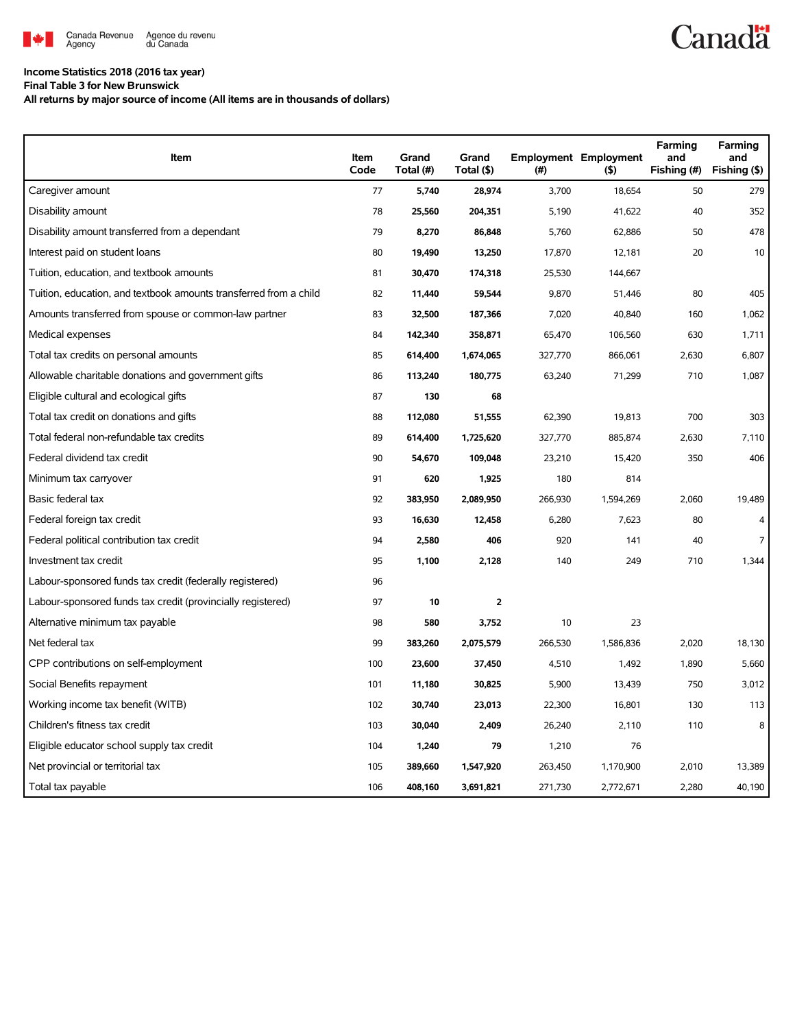

## **Income Statistics 2018 (2016 tax year)**

**Final Table 3 for New Brunswick**

**All returns by major source of income (All items are in thousands of dollars)**

| Item                                                              | Item<br>Code | Grand<br>Total (#) | Grand<br>Total (\$) | (#)     | <b>Employment Employment</b><br>(5) | Farming<br>and<br>Fishing (#) | Farming<br>and<br>Fishing (\$) |
|-------------------------------------------------------------------|--------------|--------------------|---------------------|---------|-------------------------------------|-------------------------------|--------------------------------|
| Caregiver amount                                                  | 77           | 5,740              | 28,974              | 3,700   | 18,654                              | 50                            | 279                            |
| Disability amount                                                 | 78           | 25,560             | 204,351             | 5,190   | 41,622                              | 40                            | 352                            |
| Disability amount transferred from a dependant                    | 79           | 8,270              | 86,848              | 5,760   | 62,886                              | 50                            | 478                            |
| Interest paid on student loans                                    | 80           | 19,490             | 13,250              | 17,870  | 12,181                              | 20                            | 10                             |
| Tuition, education, and textbook amounts                          | 81           | 30,470             | 174,318             | 25,530  | 144,667                             |                               |                                |
| Tuition, education, and textbook amounts transferred from a child | 82           | 11,440             | 59,544              | 9,870   | 51,446                              | 80                            | 405                            |
| Amounts transferred from spouse or common-law partner             | 83           | 32,500             | 187,366             | 7,020   | 40,840                              | 160                           | 1,062                          |
| Medical expenses                                                  | 84           | 142,340            | 358,871             | 65,470  | 106,560                             | 630                           | 1,711                          |
| Total tax credits on personal amounts                             | 85           | 614,400            | 1,674,065           | 327,770 | 866,061                             | 2,630                         | 6,807                          |
| Allowable charitable donations and government gifts               | 86           | 113,240            | 180,775             | 63,240  | 71,299                              | 710                           | 1,087                          |
| Eligible cultural and ecological gifts                            | 87           | 130                | 68                  |         |                                     |                               |                                |
| Total tax credit on donations and gifts                           | 88           | 112,080            | 51,555              | 62,390  | 19,813                              | 700                           | 303                            |
| Total federal non-refundable tax credits                          | 89           | 614,400            | 1,725,620           | 327,770 | 885,874                             | 2,630                         | 7,110                          |
| Federal dividend tax credit                                       | 90           | 54,670             | 109,048             | 23,210  | 15,420                              | 350                           | 406                            |
| Minimum tax carryover                                             | 91           | 620                | 1,925               | 180     | 814                                 |                               |                                |
| Basic federal tax                                                 | 92           | 383,950            | 2,089,950           | 266,930 | 1,594,269                           | 2,060                         | 19,489                         |
| Federal foreign tax credit                                        | 93           | 16,630             | 12,458              | 6,280   | 7,623                               | 80                            | $\overline{4}$                 |
| Federal political contribution tax credit                         | 94           | 2,580              | 406                 | 920     | 141                                 | 40                            | $\overline{7}$                 |
| Investment tax credit                                             | 95           | 1,100              | 2,128               | 140     | 249                                 | 710                           | 1,344                          |
| Labour-sponsored funds tax credit (federally registered)          | 96           |                    |                     |         |                                     |                               |                                |
| Labour-sponsored funds tax credit (provincially registered)       | 97           | 10                 | $\overline{2}$      |         |                                     |                               |                                |
| Alternative minimum tax payable                                   | 98           | 580                | 3,752               | 10      | 23                                  |                               |                                |
| Net federal tax                                                   | 99           | 383,260            | 2,075,579           | 266,530 | 1,586,836                           | 2,020                         | 18,130                         |
| CPP contributions on self-employment                              | 100          | 23,600             | 37,450              | 4,510   | 1,492                               | 1,890                         | 5,660                          |
| Social Benefits repayment                                         | 101          | 11,180             | 30,825              | 5,900   | 13,439                              | 750                           | 3,012                          |
| Working income tax benefit (WITB)                                 | 102          | 30,740             | 23,013              | 22,300  | 16,801                              | 130                           | 113                            |
| Children's fitness tax credit                                     | 103          | 30,040             | 2,409               | 26,240  | 2,110                               | 110                           | 8                              |
| Eligible educator school supply tax credit                        | 104          | 1,240              | 79                  | 1,210   | 76                                  |                               |                                |
| Net provincial or territorial tax                                 | 105          | 389,660            | 1,547,920           | 263,450 | 1,170,900                           | 2,010                         | 13,389                         |
| Total tax payable                                                 | 106          | 408,160            | 3,691,821           | 271,730 | 2,772,671                           | 2,280                         | 40,190                         |

**Canadä**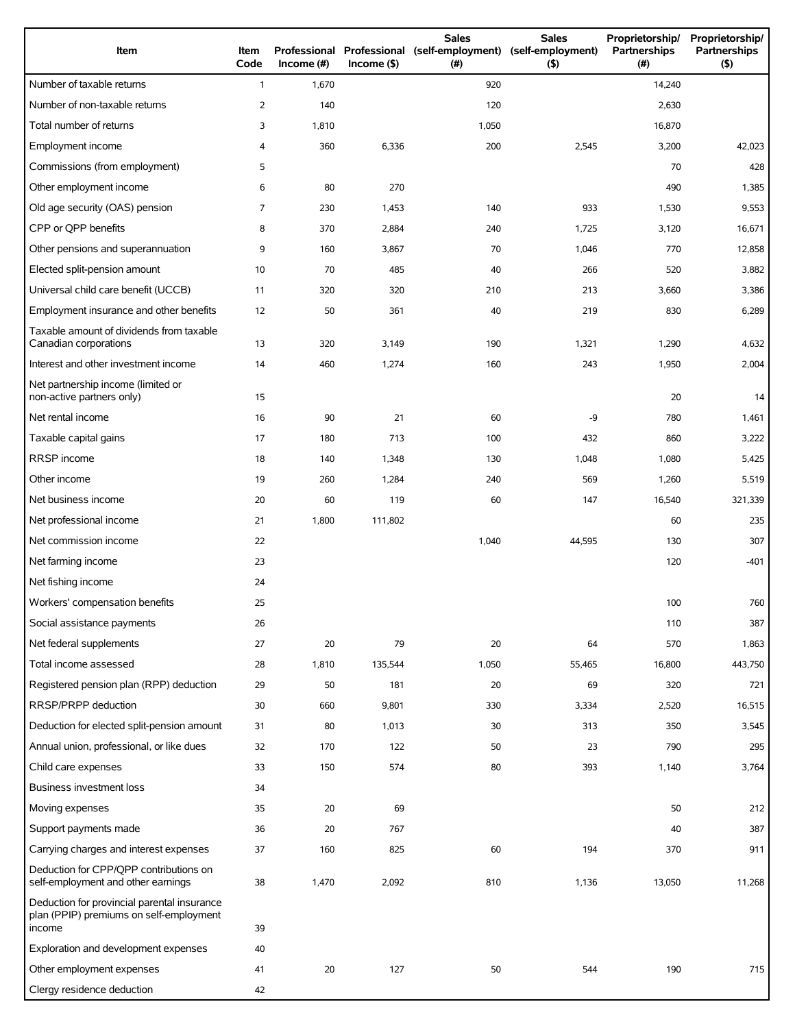| Item                                                                                             | Item<br>Code   | Income (#) | $Income$ (\$) | <b>Sales</b><br>Professional Professional (self-employment)<br>(# ) | <b>Sales</b><br>(self-employment)<br>(5) | Proprietorship/<br>Partnerships<br>(#) | Proprietorship/<br>Partnerships<br>(5) |
|--------------------------------------------------------------------------------------------------|----------------|------------|---------------|---------------------------------------------------------------------|------------------------------------------|----------------------------------------|----------------------------------------|
| Number of taxable returns                                                                        | $\mathbf{1}$   | 1,670      |               | 920                                                                 |                                          | 14,240                                 |                                        |
| Number of non-taxable returns                                                                    | $\overline{2}$ | 140        |               | 120                                                                 |                                          | 2,630                                  |                                        |
| Total number of returns                                                                          | 3              | 1,810      |               | 1,050                                                               |                                          | 16,870                                 |                                        |
| Employment income                                                                                | 4              | 360        | 6,336         | 200                                                                 | 2,545                                    | 3,200                                  | 42,023                                 |
| Commissions (from employment)                                                                    | 5              |            |               |                                                                     |                                          | 70                                     | 428                                    |
| Other employment income                                                                          | 6              | 80         | 270           |                                                                     |                                          | 490                                    | 1,385                                  |
| Old age security (OAS) pension                                                                   | $\overline{7}$ | 230        | 1,453         | 140                                                                 | 933                                      | 1,530                                  | 9,553                                  |
| CPP or QPP benefits                                                                              | 8              | 370        | 2,884         | 240                                                                 | 1,725                                    | 3,120                                  | 16,671                                 |
| Other pensions and superannuation                                                                | 9              | 160        | 3,867         | 70                                                                  | 1,046                                    | 770                                    | 12,858                                 |
| Elected split-pension amount                                                                     | 10             | 70         | 485           | 40                                                                  | 266                                      | 520                                    | 3,882                                  |
| Universal child care benefit (UCCB)                                                              | 11             | 320        | 320           | 210                                                                 | 213                                      | 3,660                                  | 3,386                                  |
| Employment insurance and other benefits                                                          | 12             | 50         | 361           | 40                                                                  | 219                                      | 830                                    | 6,289                                  |
| Taxable amount of dividends from taxable<br>Canadian corporations                                | 13             | 320        | 3,149         | 190                                                                 | 1,321                                    | 1,290                                  | 4,632                                  |
| Interest and other investment income                                                             | 14             | 460        | 1,274         | 160                                                                 | 243                                      | 1,950                                  | 2,004                                  |
| Net partnership income (limited or<br>non-active partners only)                                  | 15             |            |               |                                                                     |                                          | 20                                     | 14                                     |
| Net rental income                                                                                | 16             | 90         | 21            | 60                                                                  | -9                                       | 780                                    | 1,461                                  |
| Taxable capital gains                                                                            | 17             | 180        | 713           | 100                                                                 | 432                                      | 860                                    | 3,222                                  |
| RRSP income                                                                                      | 18             | 140        | 1,348         | 130                                                                 | 1,048                                    | 1,080                                  | 5,425                                  |
| Other income                                                                                     | 19             | 260        | 1,284         | 240                                                                 | 569                                      | 1,260                                  | 5,519                                  |
| Net business income                                                                              | 20             | 60         | 119           | 60                                                                  | 147                                      | 16,540                                 | 321,339                                |
| Net professional income                                                                          | 21             | 1,800      | 111,802       |                                                                     |                                          | 60                                     | 235                                    |
| Net commission income                                                                            | 22             |            |               | 1,040                                                               | 44,595                                   | 130                                    | 307                                    |
| Net farming income                                                                               | 23             |            |               |                                                                     |                                          | 120                                    | $-401$                                 |
| Net fishing income                                                                               | 24             |            |               |                                                                     |                                          |                                        |                                        |
| Workers' compensation benefits                                                                   | 25             |            |               |                                                                     |                                          | 100                                    | 760                                    |
| Social assistance payments                                                                       | 26             |            |               |                                                                     |                                          | 110                                    | 387                                    |
| Net federal supplements                                                                          | 27             | 20         | 79            | 20                                                                  | 64                                       | 570                                    | 1,863                                  |
| Total income assessed                                                                            | 28             | 1,810      | 135,544       | 1,050                                                               | 55,465                                   | 16,800                                 | 443,750                                |
| Registered pension plan (RPP) deduction                                                          | 29             | 50         | 181           | 20                                                                  | 69                                       | 320                                    | 721                                    |
| RRSP/PRPP deduction                                                                              | 30             | 660        | 9,801         | 330                                                                 | 3,334                                    | 2,520                                  | 16,515                                 |
| Deduction for elected split-pension amount                                                       | 31             | 80         | 1,013         | 30                                                                  | 313                                      | 350                                    | 3,545                                  |
| Annual union, professional, or like dues                                                         | 32             | 170        | 122           | 50                                                                  | 23                                       | 790                                    | 295                                    |
| Child care expenses                                                                              | 33             | 150        | 574           | 80                                                                  | 393                                      | 1,140                                  | 3,764                                  |
| Business investment loss                                                                         | 34             |            |               |                                                                     |                                          |                                        |                                        |
| Moving expenses                                                                                  | 35             | 20         | 69            |                                                                     |                                          | 50                                     | 212                                    |
| Support payments made                                                                            | 36             | 20         | 767           |                                                                     |                                          | 40                                     | 387                                    |
| Carrying charges and interest expenses                                                           | 37             | 160        | 825           | 60                                                                  | 194                                      | 370                                    | 911                                    |
| Deduction for CPP/QPP contributions on<br>self-employment and other earnings                     | 38             | 1,470      | 2,092         | 810                                                                 | 1,136                                    | 13,050                                 | 11,268                                 |
| Deduction for provincial parental insurance<br>plan (PPIP) premiums on self-employment<br>income | 39             |            |               |                                                                     |                                          |                                        |                                        |
| Exploration and development expenses                                                             | 40             |            |               |                                                                     |                                          |                                        |                                        |
| Other employment expenses                                                                        | 41             | 20         | 127           | 50                                                                  | 544                                      | 190                                    | 715                                    |
| Clergy residence deduction                                                                       | 42             |            |               |                                                                     |                                          |                                        |                                        |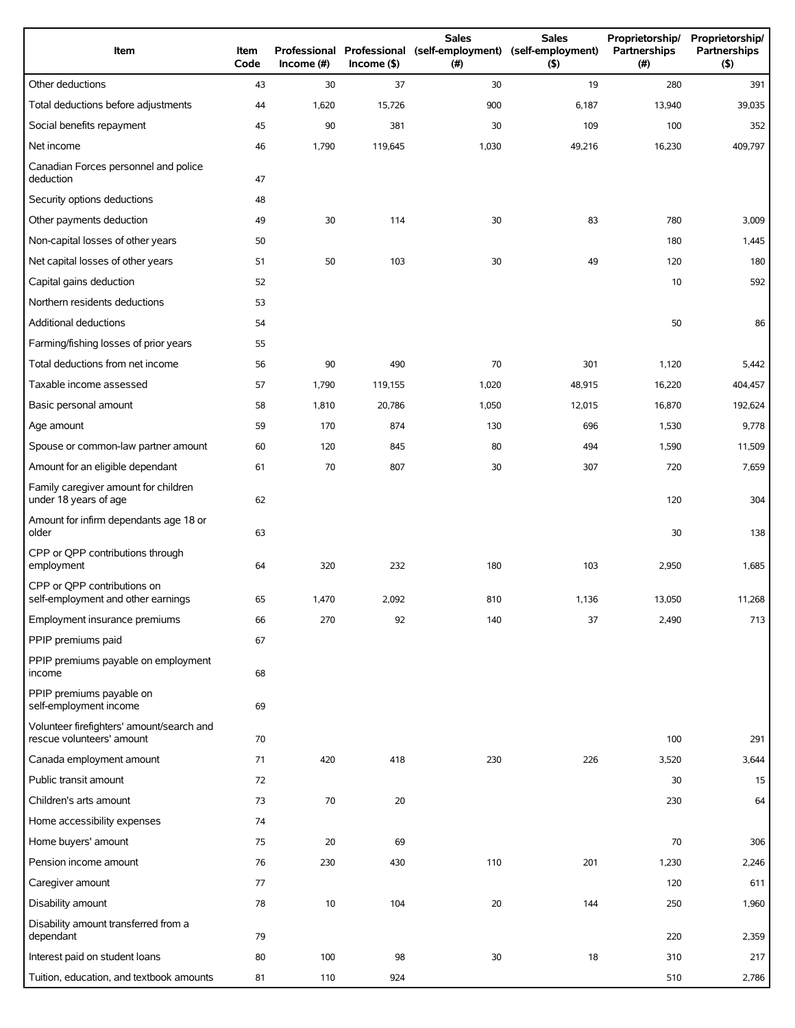| Item                                                                   | Item<br>Code | Income $(\#)$ | $Income($ \$) | <b>Sales</b><br>Professional Professional (self-employment) (self-employment)<br>(#) | <b>Sales</b><br>(5) | Proprietorship/<br>Partnerships<br>(# ) | Proprietorship/<br>Partnerships<br>(5) |
|------------------------------------------------------------------------|--------------|---------------|---------------|--------------------------------------------------------------------------------------|---------------------|-----------------------------------------|----------------------------------------|
| Other deductions                                                       | 43           | 30            | 37            | 30                                                                                   | 19                  | 280                                     | 391                                    |
| Total deductions before adjustments                                    | 44           | 1,620         | 15,726        | 900                                                                                  | 6,187               | 13,940                                  | 39,035                                 |
| Social benefits repayment                                              | 45           | 90            | 381           | 30                                                                                   | 109                 | 100                                     | 352                                    |
| Net income                                                             | 46           | 1,790         | 119,645       | 1,030                                                                                | 49,216              | 16,230                                  | 409,797                                |
| Canadian Forces personnel and police<br>deduction                      | 47           |               |               |                                                                                      |                     |                                         |                                        |
| Security options deductions                                            | 48           |               |               |                                                                                      |                     |                                         |                                        |
| Other payments deduction                                               | 49           | 30            | 114           | 30                                                                                   | 83                  | 780                                     | 3,009                                  |
| Non-capital losses of other years                                      | 50           |               |               |                                                                                      |                     | 180                                     | 1,445                                  |
| Net capital losses of other years                                      | 51           | 50            | 103           | 30                                                                                   | 49                  | 120                                     | 180                                    |
| Capital gains deduction                                                | 52           |               |               |                                                                                      |                     | 10                                      | 592                                    |
| Northern residents deductions                                          | 53           |               |               |                                                                                      |                     |                                         |                                        |
| Additional deductions                                                  | 54           |               |               |                                                                                      |                     | 50                                      | 86                                     |
| Farming/fishing losses of prior years                                  | 55           |               |               |                                                                                      |                     |                                         |                                        |
| Total deductions from net income                                       | 56           | 90            | 490           | 70                                                                                   | 301                 | 1,120                                   | 5,442                                  |
| Taxable income assessed                                                | 57           | 1,790         | 119,155       | 1,020                                                                                | 48,915              | 16,220                                  | 404,457                                |
| Basic personal amount                                                  | 58           | 1,810         | 20,786        | 1,050                                                                                | 12,015              | 16,870                                  | 192,624                                |
| Age amount                                                             | 59           | 170           | 874           | 130                                                                                  | 696                 | 1,530                                   | 9,778                                  |
| Spouse or common-law partner amount                                    | 60           | 120           | 845           | 80                                                                                   | 494                 | 1,590                                   | 11,509                                 |
| Amount for an eligible dependant                                       | 61           | 70            | 807           | 30                                                                                   | 307                 | 720                                     | 7,659                                  |
| Family caregiver amount for children<br>under 18 years of age          | 62           |               |               |                                                                                      |                     | 120                                     | 304                                    |
| Amount for infirm dependants age 18 or<br>older                        | 63           |               |               |                                                                                      |                     | 30                                      | 138                                    |
| CPP or QPP contributions through<br>employment                         | 64           | 320           | 232           | 180                                                                                  | 103                 | 2,950                                   | 1,685                                  |
| CPP or QPP contributions on<br>self-employment and other earnings      | 65           | 1,470         | 2,092         | 810                                                                                  | 1,136               | 13,050                                  | 11,268                                 |
| Employment insurance premiums                                          | 66           | 270           | 92            | 140                                                                                  | 37                  | 2,490                                   | 713                                    |
| PPIP premiums paid                                                     | 67           |               |               |                                                                                      |                     |                                         |                                        |
| PPIP premiums payable on employment<br>income                          | 68           |               |               |                                                                                      |                     |                                         |                                        |
| PPIP premiums payable on<br>self-employment income                     | 69           |               |               |                                                                                      |                     |                                         |                                        |
| Volunteer firefighters' amount/search and<br>rescue volunteers' amount | 70           |               |               |                                                                                      |                     | 100                                     | 291                                    |
| Canada employment amount                                               | 71           | 420           | 418           | 230                                                                                  | 226                 | 3,520                                   | 3,644                                  |
| Public transit amount                                                  | 72           |               |               |                                                                                      |                     | 30                                      | 15                                     |
| Children's arts amount                                                 | 73           | 70            | 20            |                                                                                      |                     | 230                                     | 64                                     |
| Home accessibility expenses                                            | 74           |               |               |                                                                                      |                     |                                         |                                        |
| Home buyers' amount                                                    | 75           | 20            | 69            |                                                                                      |                     | 70                                      | 306                                    |
| Pension income amount                                                  | 76           | 230           | 430           | 110                                                                                  | 201                 | 1,230                                   | 2,246                                  |
| Caregiver amount                                                       | 77           |               |               |                                                                                      |                     | 120                                     | 611                                    |
| Disability amount                                                      | 78           | 10            | 104           | 20                                                                                   | 144                 | 250                                     | 1,960                                  |
| Disability amount transferred from a<br>dependant                      | 79           |               |               |                                                                                      |                     | 220                                     | 2,359                                  |
| Interest paid on student loans                                         | 80           | 100           | 98            | 30                                                                                   | 18                  | 310                                     | 217                                    |
| Tuition, education, and textbook amounts                               | 81           | 110           | 924           |                                                                                      |                     | 510                                     | 2,786                                  |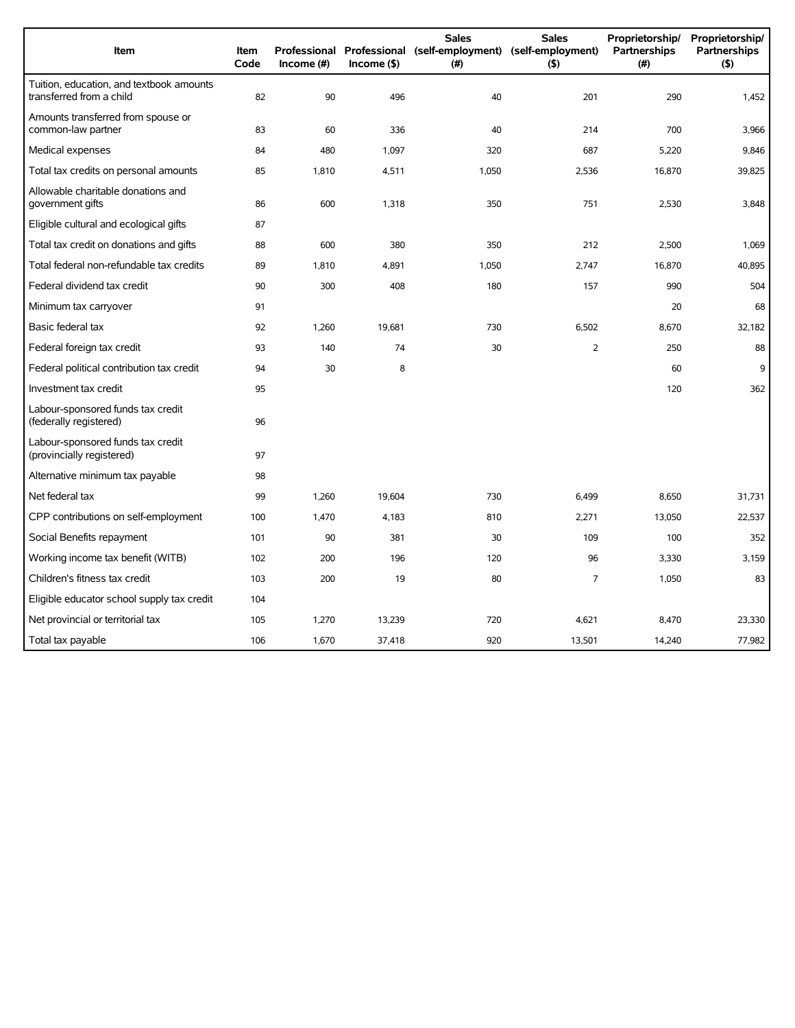| Item                                                                 | <b>Item</b><br>Code | Income $(\#)$ | $Income($ \$) | <b>Sales</b><br>Professional Professional (self-employment) (self-employment)<br>(#) | <b>Sales</b><br>$($ \$) | Proprietorship/<br>Partnerships<br>(#) | Proprietorship/<br><b>Partnerships</b><br>(5) |
|----------------------------------------------------------------------|---------------------|---------------|---------------|--------------------------------------------------------------------------------------|-------------------------|----------------------------------------|-----------------------------------------------|
| Tuition, education, and textbook amounts<br>transferred from a child | 82                  | 90            | 496           | 40                                                                                   | 201                     | 290                                    | 1,452                                         |
| Amounts transferred from spouse or<br>common-law partner             | 83                  | 60            | 336           | 40                                                                                   | 214                     | 700                                    | 3,966                                         |
| Medical expenses                                                     | 84                  | 480           | 1,097         | 320                                                                                  | 687                     | 5,220                                  | 9,846                                         |
| Total tax credits on personal amounts                                | 85                  | 1,810         | 4,511         | 1,050                                                                                | 2,536                   | 16,870                                 | 39,825                                        |
| Allowable charitable donations and<br>government gifts               | 86                  | 600           | 1,318         | 350                                                                                  | 751                     | 2,530                                  | 3,848                                         |
| Eligible cultural and ecological gifts                               | 87                  |               |               |                                                                                      |                         |                                        |                                               |
| Total tax credit on donations and gifts                              | 88                  | 600           | 380           | 350                                                                                  | 212                     | 2,500                                  | 1,069                                         |
| Total federal non-refundable tax credits                             | 89                  | 1,810         | 4,891         | 1,050                                                                                | 2,747                   | 16,870                                 | 40,895                                        |
| Federal dividend tax credit                                          | 90                  | 300           | 408           | 180                                                                                  | 157                     | 990                                    | 504                                           |
| Minimum tax carryover                                                | 91                  |               |               |                                                                                      |                         | 20                                     | 68                                            |
| Basic federal tax                                                    | 92                  | 1,260         | 19,681        | 730                                                                                  | 6,502                   | 8,670                                  | 32,182                                        |
| Federal foreign tax credit                                           | 93                  | 140           | 74            | 30                                                                                   | $\overline{2}$          | 250                                    | 88                                            |
| Federal political contribution tax credit                            | 94                  | 30            | 8             |                                                                                      |                         | 60                                     | 9                                             |
| Investment tax credit                                                | 95                  |               |               |                                                                                      |                         | 120                                    | 362                                           |
| Labour-sponsored funds tax credit<br>(federally registered)          | 96                  |               |               |                                                                                      |                         |                                        |                                               |
| Labour-sponsored funds tax credit<br>(provincially registered)       | 97                  |               |               |                                                                                      |                         |                                        |                                               |
| Alternative minimum tax payable                                      | 98                  |               |               |                                                                                      |                         |                                        |                                               |
| Net federal tax                                                      | 99                  | 1,260         | 19,604        | 730                                                                                  | 6,499                   | 8,650                                  | 31,731                                        |
| CPP contributions on self-employment                                 | 100                 | 1,470         | 4,183         | 810                                                                                  | 2,271                   | 13,050                                 | 22,537                                        |
| Social Benefits repayment                                            | 101                 | 90            | 381           | 30                                                                                   | 109                     | 100                                    | 352                                           |
| Working income tax benefit (WITB)                                    | 102                 | 200           | 196           | 120                                                                                  | 96                      | 3,330                                  | 3,159                                         |
| Children's fitness tax credit                                        | 103                 | 200           | 19            | 80                                                                                   | $\overline{7}$          | 1,050                                  | 83                                            |
| Eligible educator school supply tax credit                           | 104                 |               |               |                                                                                      |                         |                                        |                                               |
| Net provincial or territorial tax                                    | 105                 | 1,270         | 13,239        | 720                                                                                  | 4,621                   | 8,470                                  | 23,330                                        |
| Total tax payable                                                    | 106                 | 1,670         | 37,418        | 920                                                                                  | 13,501                  | 14,240                                 | 77,982                                        |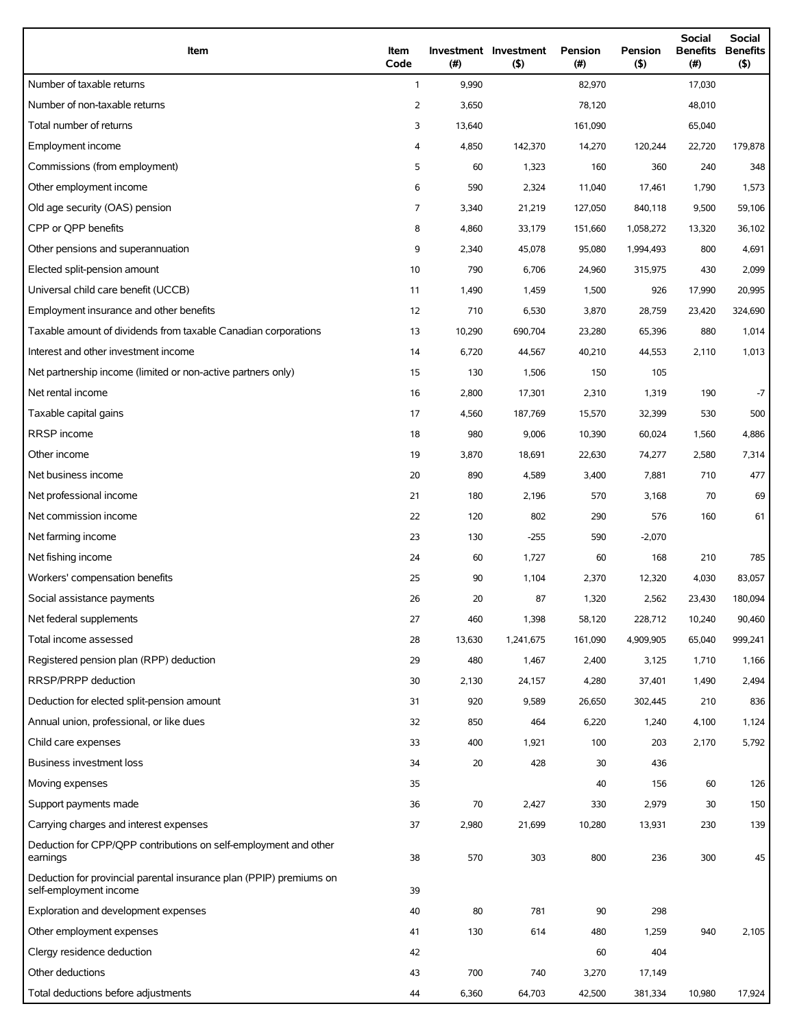| Item                                                                                          | Item<br>Code   | (#)    | Investment Investment<br>(5) | Pension<br>(#) | Pension<br>(5) | <b>Social</b><br><b>Benefits</b><br>(#) | Social<br><b>Benefits</b><br>(5) |
|-----------------------------------------------------------------------------------------------|----------------|--------|------------------------------|----------------|----------------|-----------------------------------------|----------------------------------|
| Number of taxable returns                                                                     | $\mathbf{1}$   | 9,990  |                              | 82,970         |                | 17,030                                  |                                  |
| Number of non-taxable returns                                                                 | 2              | 3,650  |                              | 78,120         |                | 48,010                                  |                                  |
| Total number of returns                                                                       | 3              | 13,640 |                              | 161,090        |                | 65,040                                  |                                  |
| Employment income                                                                             | 4              | 4,850  | 142,370                      | 14,270         | 120,244        | 22,720                                  | 179,878                          |
| Commissions (from employment)                                                                 | 5              | 60     | 1,323                        | 160            | 360            | 240                                     | 348                              |
| Other employment income                                                                       | 6              | 590    | 2,324                        | 11,040         | 17,461         | 1,790                                   | 1,573                            |
| Old age security (OAS) pension                                                                | $\overline{7}$ | 3,340  | 21,219                       | 127,050        | 840,118        | 9,500                                   | 59,106                           |
| CPP or QPP benefits                                                                           | 8              | 4,860  | 33,179                       | 151,660        | 1,058,272      | 13,320                                  | 36,102                           |
| Other pensions and superannuation                                                             | 9              | 2,340  | 45,078                       | 95,080         | 1,994,493      | 800                                     | 4,691                            |
| Elected split-pension amount                                                                  | 10             | 790    | 6,706                        | 24,960         | 315,975        | 430                                     | 2,099                            |
| Universal child care benefit (UCCB)                                                           | 11             | 1,490  | 1,459                        | 1,500          | 926            | 17,990                                  | 20,995                           |
| Employment insurance and other benefits                                                       | 12             | 710    | 6,530                        | 3,870          | 28,759         | 23,420                                  | 324,690                          |
| Taxable amount of dividends from taxable Canadian corporations                                | 13             | 10,290 | 690,704                      | 23,280         | 65,396         | 880                                     | 1,014                            |
| Interest and other investment income                                                          | 14             | 6,720  | 44,567                       | 40,210         | 44,553         | 2,110                                   | 1,013                            |
| Net partnership income (limited or non-active partners only)                                  | 15             | 130    | 1,506                        | 150            | 105            |                                         |                                  |
| Net rental income                                                                             | 16             | 2,800  | 17,301                       | 2,310          | 1,319          | 190                                     | $-7$                             |
| Taxable capital gains                                                                         | 17             | 4,560  | 187,769                      | 15,570         | 32,399         | 530                                     | 500                              |
| RRSP income                                                                                   | 18             | 980    | 9,006                        | 10,390         | 60,024         | 1,560                                   | 4,886                            |
| Other income                                                                                  | 19             | 3,870  | 18,691                       | 22,630         | 74,277         | 2,580                                   | 7,314                            |
| Net business income                                                                           | 20             | 890    | 4,589                        | 3,400          | 7,881          | 710                                     | 477                              |
| Net professional income                                                                       | 21             | 180    | 2,196                        | 570            | 3,168          | 70                                      | 69                               |
| Net commission income                                                                         | 22             | 120    | 802                          | 290            | 576            | 160                                     | 61                               |
| Net farming income                                                                            | 23             | 130    | $-255$                       | 590            | $-2,070$       |                                         |                                  |
| Net fishing income                                                                            | 24             | 60     | 1,727                        | 60             | 168            | 210                                     | 785                              |
| Workers' compensation benefits                                                                | 25             | 90     | 1,104                        | 2,370          | 12,320         | 4,030                                   | 83,057                           |
| Social assistance payments                                                                    | 26             | 20     | 87                           | 1,320          | 2,562          | 23,430                                  | 180,094                          |
| Net federal supplements                                                                       | 27             | 460    | 1,398                        | 58,120         | 228,712        | 10,240                                  | 90,460                           |
| Total income assessed                                                                         | 28             | 13,630 | 1,241,675                    | 161,090        | 4,909,905      | 65,040                                  | 999,241                          |
| Registered pension plan (RPP) deduction                                                       | 29             | 480    | 1,467                        | 2,400          | 3,125          | 1,710                                   | 1,166                            |
| RRSP/PRPP deduction                                                                           | 30             | 2,130  | 24,157                       | 4,280          | 37,401         | 1,490                                   | 2,494                            |
| Deduction for elected split-pension amount                                                    | 31             | 920    | 9,589                        | 26,650         | 302,445        | 210                                     | 836                              |
| Annual union, professional, or like dues                                                      | 32             | 850    | 464                          | 6,220          | 1,240          | 4,100                                   | 1,124                            |
| Child care expenses                                                                           | 33             | 400    | 1,921                        | 100            | 203            | 2,170                                   | 5,792                            |
| Business investment loss                                                                      | 34             | 20     | 428                          | 30             | 436            |                                         |                                  |
| Moving expenses                                                                               | 35             |        |                              | 40             | 156            | 60                                      | 126                              |
| Support payments made                                                                         | 36             | 70     | 2,427                        | 330            | 2,979          | 30                                      | 150                              |
| Carrying charges and interest expenses                                                        | 37             | 2,980  | 21,699                       | 10,280         | 13,931         | 230                                     | 139                              |
| Deduction for CPP/QPP contributions on self-employment and other<br>earnings                  | 38             | 570    | 303                          | 800            | 236            | 300                                     | 45                               |
| Deduction for provincial parental insurance plan (PPIP) premiums on<br>self-employment income | 39             |        |                              |                |                |                                         |                                  |
| Exploration and development expenses                                                          | 40             | 80     | 781                          | 90             | 298            |                                         |                                  |
| Other employment expenses                                                                     | 41             | 130    | 614                          | 480            | 1,259          | 940                                     | 2,105                            |
| Clergy residence deduction                                                                    | 42             |        |                              | 60             | 404            |                                         |                                  |
| Other deductions                                                                              | 43             | 700    | 740                          | 3,270          | 17,149         |                                         |                                  |
| Total deductions before adjustments                                                           | 44             | 6,360  | 64,703                       | 42,500         | 381,334        | 10,980                                  | 17,924                           |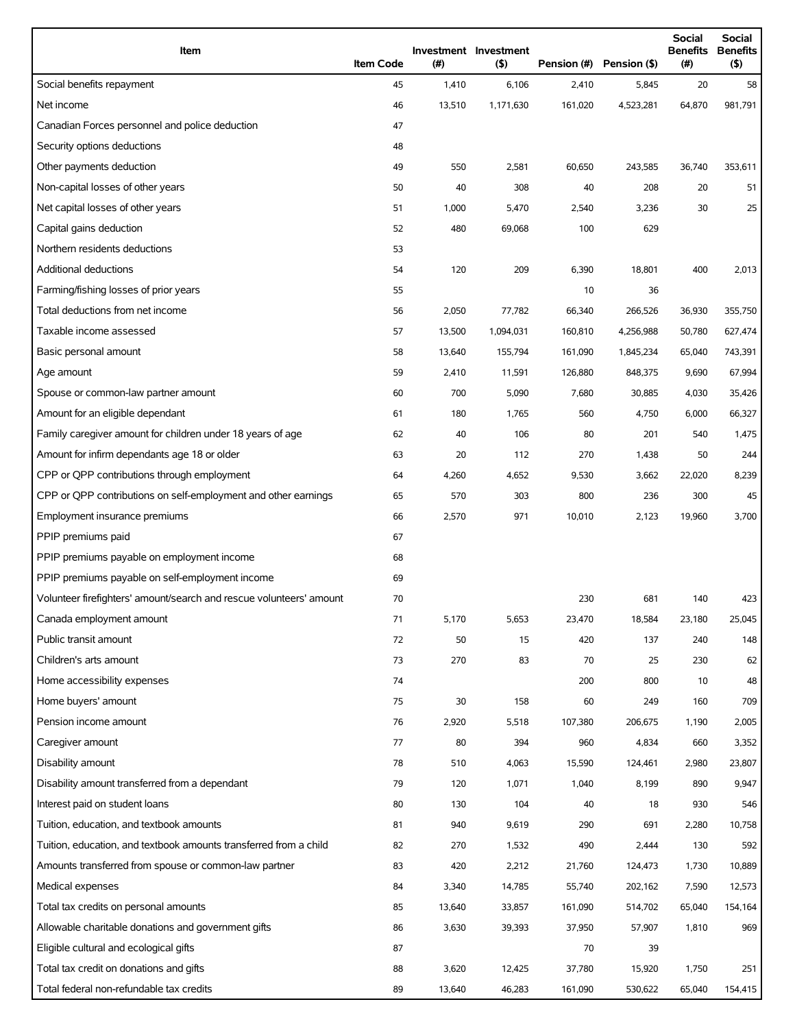| Item                                                                | <b>Item Code</b> | $($ #) | Investment Investment<br>$($ \$) | Pension (#) | Pension (\$) | <b>Social</b><br><b>Benefits</b><br>(# ) | <b>Social</b><br><b>Benefits</b><br>$($ \$) |
|---------------------------------------------------------------------|------------------|--------|----------------------------------|-------------|--------------|------------------------------------------|---------------------------------------------|
| Social benefits repayment                                           | 45               | 1,410  | 6,106                            | 2,410       | 5,845        | 20                                       | 58                                          |
| Net income                                                          | 46               | 13,510 | 1,171,630                        | 161,020     | 4,523,281    | 64,870                                   | 981,791                                     |
| Canadian Forces personnel and police deduction                      | 47               |        |                                  |             |              |                                          |                                             |
| Security options deductions                                         | 48               |        |                                  |             |              |                                          |                                             |
| Other payments deduction                                            | 49               | 550    | 2,581                            | 60,650      | 243,585      | 36,740                                   | 353,611                                     |
| Non-capital losses of other years                                   | 50               | 40     | 308                              | 40          | 208          | 20                                       | 51                                          |
| Net capital losses of other years                                   | 51               | 1,000  | 5,470                            | 2,540       | 3,236        | 30                                       | 25                                          |
| Capital gains deduction                                             | 52               | 480    | 69,068                           | 100         | 629          |                                          |                                             |
| Northern residents deductions                                       | 53               |        |                                  |             |              |                                          |                                             |
| Additional deductions                                               | 54               | 120    | 209                              | 6,390       | 18,801       | 400                                      | 2,013                                       |
| Farming/fishing losses of prior years                               | 55               |        |                                  | 10          | 36           |                                          |                                             |
| Total deductions from net income                                    | 56               | 2,050  | 77,782                           | 66,340      | 266,526      | 36,930                                   | 355,750                                     |
| Taxable income assessed                                             | 57               | 13,500 | 1,094,031                        | 160,810     | 4,256,988    | 50,780                                   | 627,474                                     |
| Basic personal amount                                               | 58               | 13,640 | 155,794                          | 161,090     | 1,845,234    | 65,040                                   | 743,391                                     |
| Age amount                                                          | 59               | 2,410  | 11,591                           | 126,880     | 848,375      | 9,690                                    | 67,994                                      |
| Spouse or common-law partner amount                                 | 60               | 700    | 5,090                            | 7,680       | 30,885       | 4,030                                    | 35,426                                      |
| Amount for an eligible dependant                                    | 61               | 180    | 1,765                            | 560         | 4,750        | 6,000                                    | 66,327                                      |
| Family caregiver amount for children under 18 years of age          | 62               | 40     | 106                              | 80          | 201          | 540                                      | 1,475                                       |
| Amount for infirm dependants age 18 or older                        | 63               | 20     | 112                              | 270         | 1,438        | 50                                       | 244                                         |
| CPP or QPP contributions through employment                         | 64               | 4,260  | 4,652                            | 9,530       | 3,662        | 22,020                                   | 8,239                                       |
| CPP or QPP contributions on self-employment and other earnings      | 65               | 570    | 303                              | 800         | 236          | 300                                      | 45                                          |
| Employment insurance premiums                                       | 66               | 2,570  | 971                              | 10,010      | 2,123        | 19,960                                   | 3,700                                       |
| PPIP premiums paid                                                  | 67               |        |                                  |             |              |                                          |                                             |
| PPIP premiums payable on employment income                          | 68               |        |                                  |             |              |                                          |                                             |
| PPIP premiums payable on self-employment income                     | 69               |        |                                  |             |              |                                          |                                             |
| Volunteer firefighters' amount/search and rescue volunteers' amount | 70               |        |                                  | 230         | 681          | 140                                      | 423                                         |
| Canada employment amount                                            | 71               | 5,170  | 5,653                            | 23,470      | 18,584       | 23,180                                   | 25,045                                      |
| Public transit amount                                               | 72               | 50     | 15                               | 420         | 137          | 240                                      | 148                                         |
| Children's arts amount                                              | 73               | 270    | 83                               | 70          | 25           | 230                                      | 62                                          |
| Home accessibility expenses                                         | 74               |        |                                  | 200         | 800          | 10                                       | 48                                          |
| Home buyers' amount                                                 | 75               | 30     | 158                              | 60          | 249          | 160                                      | 709                                         |
| Pension income amount                                               | 76               | 2,920  | 5,518                            | 107,380     | 206,675      | 1,190                                    | 2,005                                       |
| Caregiver amount                                                    | 77               | 80     | 394                              | 960         | 4,834        | 660                                      | 3,352                                       |
| Disability amount                                                   | 78               | 510    | 4,063                            | 15,590      | 124,461      | 2,980                                    | 23,807                                      |
| Disability amount transferred from a dependant                      | 79               | 120    | 1,071                            | 1,040       | 8,199        | 890                                      | 9,947                                       |
| Interest paid on student loans                                      | 80               | 130    | 104                              | 40          | 18           | 930                                      | 546                                         |
| Tuition, education, and textbook amounts                            | 81               | 940    | 9,619                            | 290         | 691          | 2,280                                    | 10,758                                      |
| Tuition, education, and textbook amounts transferred from a child   | 82               | 270    | 1,532                            | 490         | 2,444        | 130                                      | 592                                         |
| Amounts transferred from spouse or common-law partner               | 83               | 420    | 2,212                            | 21,760      | 124,473      | 1,730                                    | 10,889                                      |
| Medical expenses                                                    | 84               | 3,340  | 14,785                           | 55,740      | 202,162      | 7,590                                    | 12,573                                      |
| Total tax credits on personal amounts                               | 85               | 13,640 | 33,857                           | 161,090     | 514,702      | 65,040                                   | 154,164                                     |
| Allowable charitable donations and government gifts                 | 86               | 3,630  | 39,393                           | 37,950      | 57,907       | 1,810                                    | 969                                         |
| Eligible cultural and ecological gifts                              | 87               |        |                                  | 70          | 39           |                                          |                                             |
| Total tax credit on donations and gifts                             | 88               | 3,620  | 12,425                           | 37,780      | 15,920       | 1,750                                    | 251                                         |
| Total federal non-refundable tax credits                            | 89               | 13,640 | 46,283                           | 161,090     | 530,622      | 65,040                                   | 154,415                                     |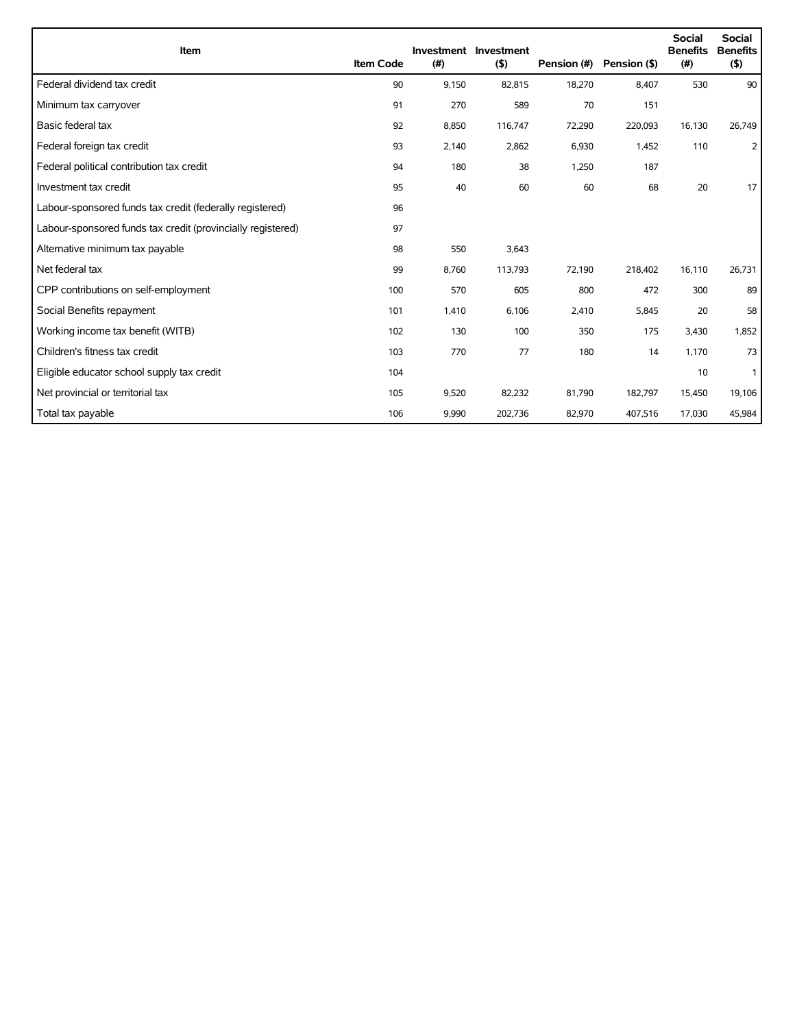| Item                                                        | <b>Item Code</b> | (#)   | Investment Investment<br>(5) | Pension (#) | Pension (\$) | <b>Social</b><br><b>Benefits</b><br>(#) | <b>Social</b><br><b>Benefits</b><br>(5) |
|-------------------------------------------------------------|------------------|-------|------------------------------|-------------|--------------|-----------------------------------------|-----------------------------------------|
| Federal dividend tax credit                                 | 90               | 9,150 | 82,815                       | 18,270      | 8,407        | 530                                     | 90                                      |
| Minimum tax carryover                                       | 91               | 270   | 589                          | 70          | 151          |                                         |                                         |
| Basic federal tax                                           | 92               | 8,850 | 116,747                      | 72,290      | 220,093      | 16,130                                  | 26,749                                  |
| Federal foreign tax credit                                  | 93               | 2,140 | 2,862                        | 6,930       | 1,452        | 110                                     | $\overline{2}$                          |
| Federal political contribution tax credit                   | 94               | 180   | 38                           | 1,250       | 187          |                                         |                                         |
| Investment tax credit                                       | 95               | 40    | 60                           | 60          | 68           | 20                                      | 17                                      |
| Labour-sponsored funds tax credit (federally registered)    | 96               |       |                              |             |              |                                         |                                         |
| Labour-sponsored funds tax credit (provincially registered) | 97               |       |                              |             |              |                                         |                                         |
| Alternative minimum tax payable                             | 98               | 550   | 3,643                        |             |              |                                         |                                         |
| Net federal tax                                             | 99               | 8,760 | 113,793                      | 72,190      | 218,402      | 16,110                                  | 26,731                                  |
| CPP contributions on self-employment                        | 100              | 570   | 605                          | 800         | 472          | 300                                     | 89                                      |
| Social Benefits repayment                                   | 101              | 1,410 | 6,106                        | 2,410       | 5,845        | 20                                      | 58                                      |
| Working income tax benefit (WITB)                           | 102              | 130   | 100                          | 350         | 175          | 3,430                                   | 1,852                                   |
| Children's fitness tax credit                               | 103              | 770   | 77                           | 180         | 14           | 1,170                                   | 73                                      |
| Eligible educator school supply tax credit                  | 104              |       |                              |             |              | 10                                      | 1                                       |
| Net provincial or territorial tax                           | 105              | 9,520 | 82,232                       | 81,790      | 182,797      | 15,450                                  | 19,106                                  |
| Total tax payable                                           | 106              | 9,990 | 202,736                      | 82,970      | 407,516      | 17,030                                  | 45,984                                  |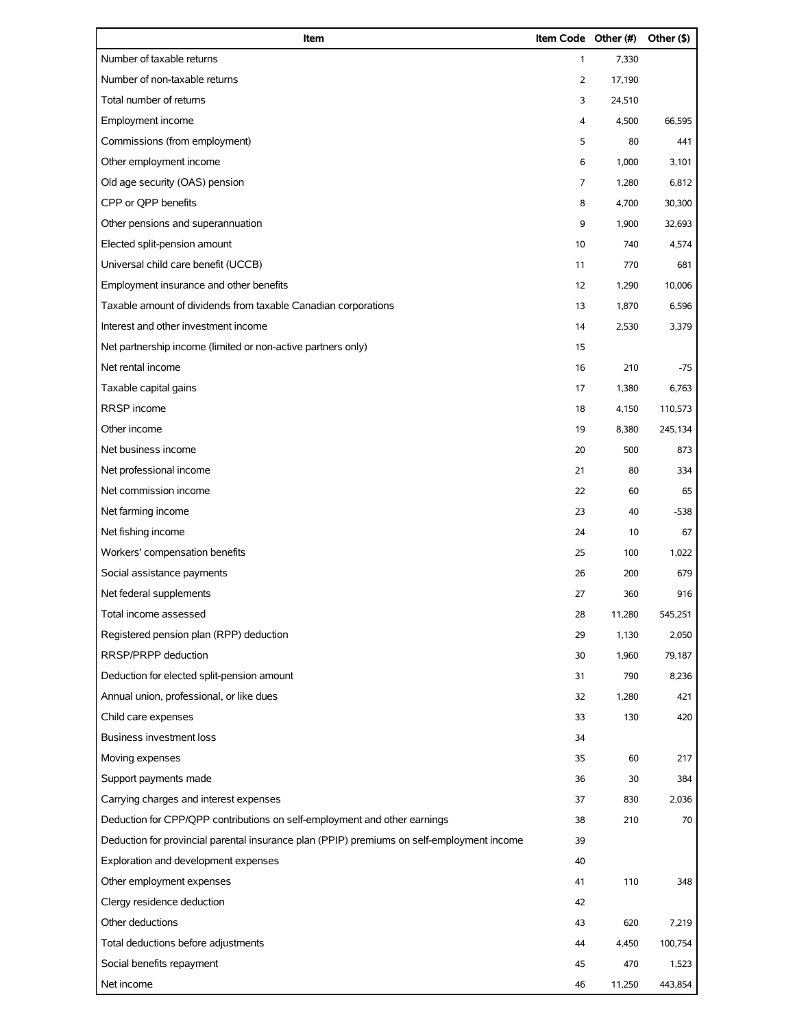| Item                                                                                       | Item Code Other (#) |        | Other (\$) |
|--------------------------------------------------------------------------------------------|---------------------|--------|------------|
| Number of taxable returns                                                                  | $\mathbf{1}$        | 7,330  |            |
| Number of non-taxable returns                                                              | 2                   | 17,190 |            |
| Total number of returns                                                                    | 3                   | 24,510 |            |
| Employment income                                                                          | 4                   | 4,500  | 66,595     |
| Commissions (from employment)                                                              | 5                   | 80     | 441        |
| Other employment income                                                                    | 6                   | 1,000  | 3,101      |
| Old age security (OAS) pension                                                             | 7                   | 1,280  | 6,812      |
| CPP or QPP benefits                                                                        | 8                   | 4,700  | 30,300     |
| Other pensions and superannuation                                                          | 9                   | 1,900  | 32,693     |
| Elected split-pension amount                                                               | 10                  | 740    | 4,574      |
| Universal child care benefit (UCCB)                                                        | 11                  | 770    | 681        |
| Employment insurance and other benefits                                                    | 12                  | 1,290  | 10,006     |
| Taxable amount of dividends from taxable Canadian corporations                             | 13                  | 1,870  | 6,596      |
| Interest and other investment income                                                       | 14                  | 2,530  | 3,379      |
| Net partnership income (limited or non-active partners only)                               | 15                  |        |            |
| Net rental income                                                                          | 16                  | 210    | -75        |
| Taxable capital gains                                                                      | 17                  | 1,380  | 6,763      |
| RRSP income                                                                                | 18                  | 4,150  | 110,573    |
| Other income                                                                               | 19                  | 8,380  | 245,134    |
| Net business income                                                                        | 20                  | 500    | 873        |
| Net professional income                                                                    | 21                  | 80     | 334        |
| Net commission income                                                                      | 22                  | 60     | 65         |
| Net farming income                                                                         | 23                  | 40     | $-538$     |
| Net fishing income                                                                         | 24                  | 10     | 67         |
| Workers' compensation benefits                                                             | 25                  | 100    | 1,022      |
| Social assistance payments                                                                 | 26                  | 200    | 679        |
| Net federal supplements                                                                    | 27                  | 360    | 916        |
| Total income assessed                                                                      | 28                  | 11,280 | 545,251    |
| Registered pension plan (RPP) deduction                                                    | 29                  | 1,130  | 2,050      |
| RRSP/PRPP deduction                                                                        | 30                  | 1,960  | 79,187     |
| Deduction for elected split-pension amount                                                 | 31                  | 790    | 8,236      |
| Annual union, professional, or like dues                                                   | 32                  | 1,280  | 421        |
| Child care expenses                                                                        | 33                  | 130    | 420        |
| <b>Business investment loss</b>                                                            | 34                  |        |            |
| Moving expenses                                                                            | 35                  | 60     | 217        |
| Support payments made                                                                      | 36                  | 30     | 384        |
| Carrying charges and interest expenses                                                     | 37                  | 830    | 2,036      |
| Deduction for CPP/QPP contributions on self-employment and other earnings                  | 38                  | 210    | 70         |
| Deduction for provincial parental insurance plan (PPIP) premiums on self-employment income | 39                  |        |            |
| Exploration and development expenses                                                       | 40                  |        |            |
| Other employment expenses                                                                  | 41                  | 110    | 348        |
| Clergy residence deduction                                                                 | 42                  |        |            |
| Other deductions                                                                           | 43                  | 620    | 7,219      |
| Total deductions before adjustments                                                        | 44                  | 4,450  | 100,754    |
| Social benefits repayment                                                                  | 45                  | 470    | 1,523      |
| Net income                                                                                 | 46                  | 11,250 | 443,854    |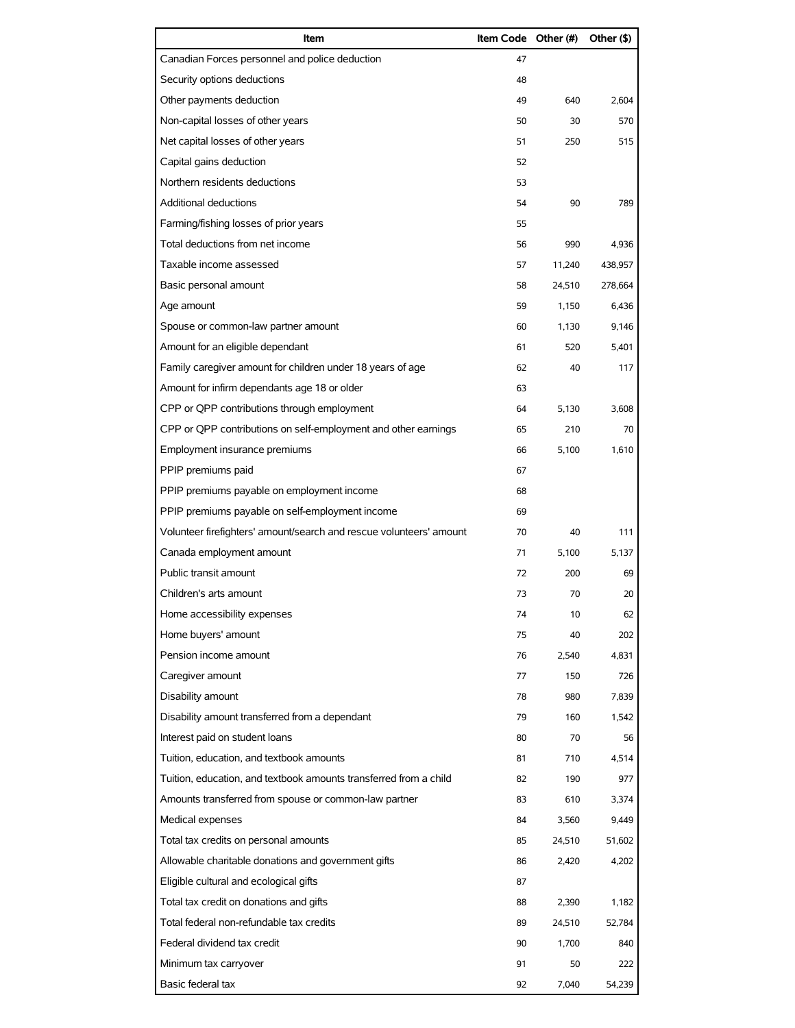| Item                                                                | Item Code Other (#) |        | Other (\$) |
|---------------------------------------------------------------------|---------------------|--------|------------|
| Canadian Forces personnel and police deduction                      | 47                  |        |            |
| Security options deductions                                         | 48                  |        |            |
| Other payments deduction                                            | 49                  | 640    | 2,604      |
| Non-capital losses of other years                                   | 50                  | 30     | 570        |
| Net capital losses of other years                                   | 51                  | 250    | 515        |
| Capital gains deduction                                             | 52                  |        |            |
| Northern residents deductions                                       | 53                  |        |            |
| Additional deductions                                               | 54                  | 90     | 789        |
| Farming/fishing losses of prior years                               | 55                  |        |            |
| Total deductions from net income                                    | 56                  | 990    | 4,936      |
| Taxable income assessed                                             | 57                  | 11,240 | 438,957    |
| Basic personal amount                                               | 58                  | 24,510 | 278,664    |
| Age amount                                                          | 59                  | 1.150  | 6.436      |
| Spouse or common-law partner amount                                 | 60                  | 1,130  | 9,146      |
| Amount for an eligible dependant                                    | 61                  | 520    | 5,401      |
| Family caregiver amount for children under 18 years of age          | 62                  | 40     | 117        |
| Amount for infirm dependants age 18 or older                        | 63                  |        |            |
| CPP or QPP contributions through employment                         | 64                  | 5,130  | 3,608      |
| CPP or QPP contributions on self-employment and other earnings      | 65                  | 210    | 70         |
| Employment insurance premiums                                       | 66                  | 5,100  | 1,610      |
| PPIP premiums paid                                                  | 67                  |        |            |
| PPIP premiums payable on employment income                          | 68                  |        |            |
| PPIP premiums payable on self-employment income                     | 69                  |        |            |
| Volunteer firefighters' amount/search and rescue volunteers' amount | 70                  | 40     | 111        |
| Canada employment amount                                            | 71                  | 5,100  | 5,137      |
| Public transit amount                                               | 72                  | 200    | 69         |
| Children's arts amount                                              | 73                  | 70     | 20         |
| Home accessibility expenses                                         | 74                  | 10     | 62         |
| Home buyers' amount                                                 | 75                  | 40     | 202        |
| Pension income amount                                               | 76                  | 2,540  | 4,831      |
| Caregiver amount                                                    | 77                  | 150    | 726        |
| Disability amount                                                   | 78                  | 980    | 7,839      |
| Disability amount transferred from a dependant                      | 79                  | 160    | 1,542      |
| Interest paid on student loans                                      | 80                  | 70     | 56         |
| Tuition, education, and textbook amounts                            | 81                  | 710    | 4,514      |
| Tuition, education, and textbook amounts transferred from a child   | 82                  | 190    | 977        |
| Amounts transferred from spouse or common-law partner               | 83                  | 610    | 3,374      |
| Medical expenses                                                    | 84                  | 3,560  | 9,449      |
| Total tax credits on personal amounts                               | 85                  | 24,510 | 51,602     |
| Allowable charitable donations and government gifts                 | 86                  | 2,420  | 4,202      |
| Eligible cultural and ecological gifts                              | 87                  |        |            |
| Total tax credit on donations and gifts                             | 88                  | 2,390  | 1,182      |
| Total federal non-refundable tax credits                            | 89                  | 24,510 | 52,784     |
| Federal dividend tax credit                                         | 90                  | 1,700  | 840        |
| Minimum tax carryover                                               | 91                  | 50     | 222        |
| Basic federal tax                                                   | 92                  | 7,040  | 54,239     |